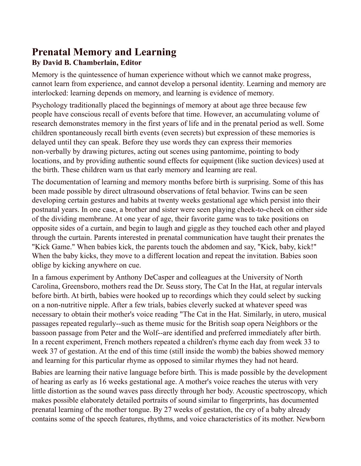## **Prenatal Memory and Learning By David B. Chamberlain, Editor**

Memory is the quintessence of human experience without which we cannot make progress, cannot learn from experience, and cannot develop a personal identity. Learning and memory are interlocked: learning depends on memory, and learning is evidence of memory.

Psychology traditionally placed the beginnings of memory at about age three because few people have conscious recall of events before that time. However, an accumulating volume of research demonstrates memory in the first years of life and in the prenatal period as well. Some children spontaneously recall birth events (even secrets) but expression of these memories is delayed until they can speak. Before they use words they can express their memories non-verbally by drawing pictures, acting out scenes using pantomime, pointing to body locations, and by providing authentic sound effects for equipment (like suction devices) used at the birth. These children warn us that early memory and learning are real.

The documentation of learning and memory months before birth is surprising. Some of this has been made possible by direct ultrasound observations of fetal behavior. Twins can be seen developing certain gestures and habits at twenty weeks gestational age which persist into their postnatal years. In one case, a brother and sister were seen playing cheek-to-cheek on either side of the dividing membrane. At one year of age, their favorite game was to take positions on opposite sides of a curtain, and begin to laugh and giggle as they touched each other and played through the curtain. Parents interested in prenatal communication have taught their prenates the "Kick Game." When babies kick, the parents touch the abdomen and say, "Kick, baby, kick!" When the baby kicks, they move to a different location and repeat the invitation. Babies soon oblige by kicking anywhere on cue.

In a famous experiment by Anthony DeCasper and colleagues at the University of North Carolina, Greensboro, mothers read the Dr. Seuss story, The Cat In the Hat, at regular intervals before birth. At birth, babies were hooked up to recordings which they could select by sucking on a non-nutritive nipple. After a few trials, babies cleverly sucked at whatever speed was necessary to obtain their mother's voice reading "The Cat in the Hat. Similarly, in utero, musical passages repeated regularly--such as theme music for the British soap opera Neighbors or the bassoon passage from Peter and the Wolf--are identified and preferred immediately after birth. In a recent experiment, French mothers repeated a children's rhyme each day from week 33 to week 37 of gestation. At the end of this time (still inside the womb) the babies showed memory and learning for this particular rhyme as opposed to similar rhymes they had not heard.

Babies are learning their native language before birth. This is made possible by the development of hearing as early as 16 weeks gestational age. A mother's voice reaches the uterus with very little distortion as the sound waves pass directly through her body. Acoustic spectroscopy, which makes possible elaborately detailed portraits of sound similar to fingerprints, has documented prenatal learning of the mother tongue. By 27 weeks of gestation, the cry of a baby already contains some of the speech features, rhythms, and voice characteristics of its mother. Newborn